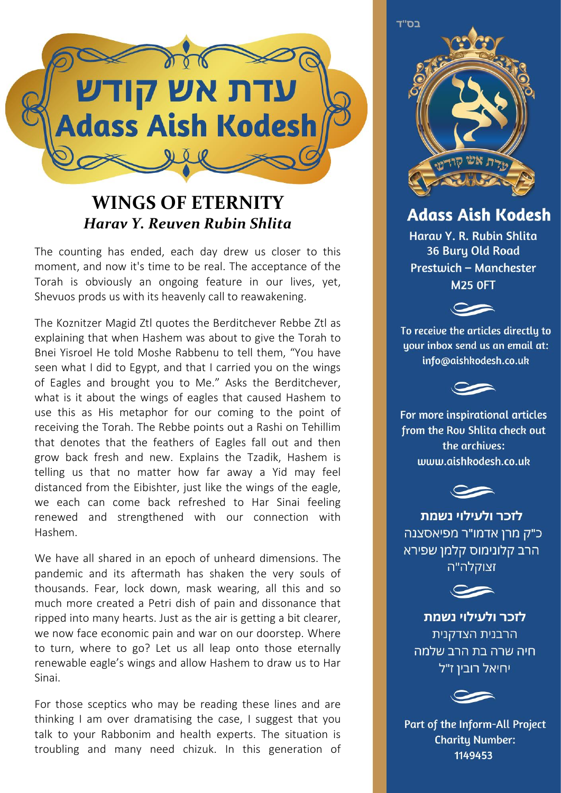

## **WINGS OF ETERNITY** *Harav Y. Reuven Rubin Shlita*

The counting has ended, each day drew us closer to this moment, and now it's time to be real. The acceptance of the Torah is obviously an ongoing feature in our lives, yet, Shevuos prods us with its heavenly call to reawakening.

The Koznitzer Magid Ztl quotes the Berditchever Rebbe Ztl as explaining that when Hashem was about to give the Torah to Bnei Yisroel He told Moshe Rabbenu to tell them, "You have seen what I did to Egypt, and that I carried you on the wings of Eagles and brought you to Me." Asks the Berditchever, what is it about the wings of eagles that caused Hashem to use this as His metaphor for our coming to the point of receiving the Torah. The Rebbe points out a Rashi on Tehillim that denotes that the feathers of Eagles fall out and then grow back fresh and new. Explains the Tzadik, Hashem is telling us that no matter how far away a Yid may feel distanced from the Eibishter, just like the wings of the eagle, we each can come back refreshed to Har Sinai feeling renewed and strengthened with our connection with Hashem.

We have all shared in an epoch of unheard dimensions. The pandemic and its aftermath has shaken the very souls of thousands. Fear, lock down, mask wearing, all this and so much more created a Petri dish of pain and dissonance that ripped into many hearts. Just as the air is getting a bit clearer, we now face economic pain and war on our doorstep. Where to turn, where to go? Let us all leap onto those eternally renewable eagle's wings and allow Hashem to draw us to Har Sinai.

For those sceptics who may be reading these lines and are thinking I am over dramatising the case, I suggest that you talk to your Rabbonim and health experts. The situation is troubling and many need chizuk. In this generation of



## **Adass Aish Kodesh**

Harau Y. R. Rubin Shlita 36 Bury Old Road Prestwich - Manchester **M25 OFT** 



To receive the articles directly to uour inbox send us an email at: info@aishkodesh.co.uk



For more inspirational articles from the Rou Shlita check out the archives: www.aishkodesh.co.uk



לזכר ולעילוי נשמת כ"ק מרן אדמו"ר מפיאסצנה הרב קלונימוס קלמן שפירא זצוקלה"ה



לזכר ולעילוי נשמת הרבנית הצדקנית חיה שרה בת הרב שלמה יחיאל רובין ז"ל



Part of the Inform-All Project **Charity Number:** 1149453